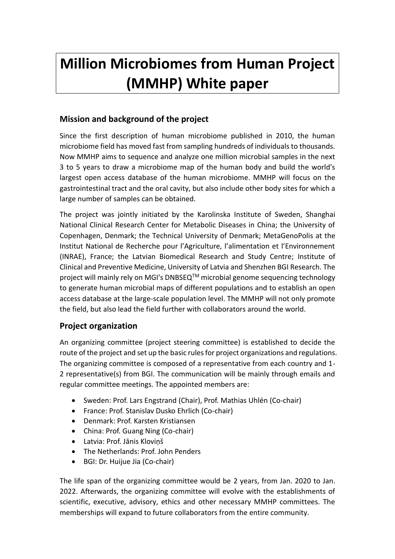# **Million Microbiomes from Human Project (MMHP) White paper**

# **Mission and background of the project**

Since the first description of human microbiome published in 2010, the human microbiome field has moved fast from sampling hundreds of individuals to thousands. Now MMHP aims to sequence and analyze one million microbial samples in the next 3 to 5 years to draw a microbiome map of the human body and build the world's largest open access database of the human microbiome. MMHP will focus on the gastrointestinal tract and the oral cavity, but also include other body sites for which a large number of samples can be obtained.

The project was jointly initiated by the Karolinska Institute of Sweden, Shanghai National Clinical Research Center for Metabolic Diseases in China; the University of Copenhagen, Denmark; the Technical University of Denmark; MetaGenoPolis at the Institut National de Recherche pour l'Agriculture, l'alimentation et l'Environnement (INRAE), France; the Latvian Biomedical Research and Study Centre; Institute of Clinical and Preventive Medicine, University of Latvia and Shenzhen BGI Research. The project will mainly rely on MGI's DNBSEQ<sup>™</sup> microbial genome sequencing technology to generate human microbial maps of different populations and to establish an open access database at the large-scale population level. The MMHP will not only promote the field, but also lead the field further with collaborators around the world.

## **Project organization**

An organizing committee (project steering committee) is established to decide the route of the project and set up the basic rules for project organizations and regulations. The organizing committee is composed of a representative from each country and 1- 2 representative(s) from BGI. The communication will be mainly through emails and regular committee meetings. The appointed members are:

- Sweden: Prof. Lars Engstrand (Chair), Prof. Mathias Uhlén (Co-chair)
- France: Prof. Stanislav Dusko Ehrlich (Co-chair)
- Denmark: Prof. Karsten Kristiansen
- China: Prof. Guang Ning (Co-chair)
- Latvia: Prof. Jānis Kloviņš
- The Netherlands: Prof. John Penders
- BGI: Dr. Huijue Jia (Co-chair)

The life span of the organizing committee would be 2 years, from Jan. 2020 to Jan. 2022. Afterwards, the organizing committee will evolve with the establishments of scientific, executive, advisory, ethics and other necessary MMHP committees. The memberships will expand to future collaborators from the entire community.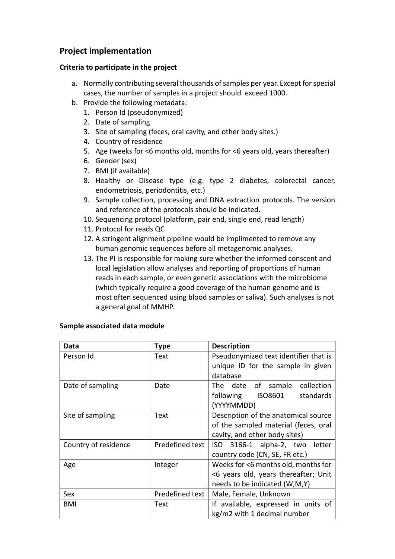# **Project implementation**

#### **Criteria to participate in the project**

- a. Normally contributing several thousands of samples per year. Except for special cases, the number of samples in a project should exceed 1000.
- b. Provide the following metadata:
	- 1. Person Id (pseudonymized)
	- 2. Date of sampling
	- 3. Site of sampling (feces, oral cavity, and other body sites.)
	- 4. Country of residence
	- 5. Age (weeks for <6 months old, months for <6 years old, years thereafter)
	- 6. Gender (sex)
	- 7. BMI (if available)
	- 8. Healthy or Disease type (e.g. type 2 diabetes, colorectal cancer, endometriosis, periodontitis, etc.)
	- 9. Sample collection, processing and DNA extraction protocols. The version and reference of the protocols should be indicated.
	- 10. Sequencing protocol (platform, pair end, single end, read length)
	- 11. Protocol for reads QC
	- 12. A stringent alignment pipeline would be implimented to remove any human genomic sequences before all metagenomic analyses.
	- 13. The PI is responsible for making sure whether the informed conscent and local legislation allow analyses and reporting of proportions of human reads in each sample, or even genetic associations with the microbiome (which typically require a good coverage of the human genome and is most often sequenced using blood samples or saliva). Such analyses is not a general goal of MMHP.

| Data                 | <b>Type</b>     | <b>Description</b>                     |
|----------------------|-----------------|----------------------------------------|
| Person Id            | Text            | Pseudonymized text identifier that is  |
|                      |                 | unique ID for the sample in given      |
|                      |                 | database                               |
| Date of sampling     | Date            | The date of sample<br>collection       |
|                      |                 | ISO8601<br>standards<br>following      |
|                      |                 | (YYYYMMDD)                             |
| Site of sampling     | Text            | Description of the anatomical source   |
|                      |                 | of the sampled material (feces, oral   |
|                      |                 | cavity, and other body sites)          |
| Country of residence | Predefined text | 3166-1 alpha-2, two<br>ISO -<br>letter |
|                      |                 | country code (CN, SE, FR etc.)         |
| Age                  | Integer         | Weeks for <6 months old, months for    |
|                      |                 | <6 years old, years thereafter; Unit   |
|                      |                 | needs to be indicated (W,M,Y)          |
| Sex                  | Predefined text | Male, Female, Unknown                  |
| <b>BMI</b>           | Text            | If available, expressed in units of    |
|                      |                 | kg/m2 with 1 decimal number            |

#### **Sample associated data module**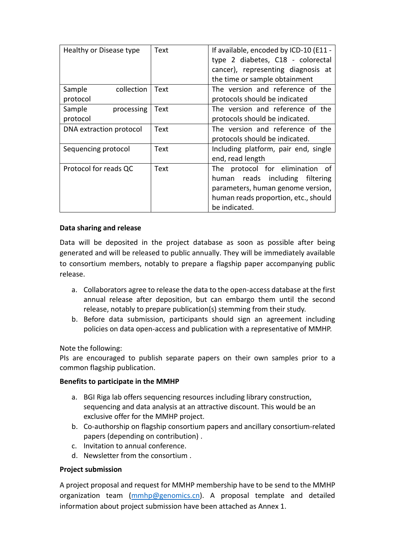| Healthy or Disease type | Text | If available, encoded by ICD-10 (E11 -<br>type 2 diabetes, C18 - colorectal<br>cancer), representing diagnosis at |
|-------------------------|------|-------------------------------------------------------------------------------------------------------------------|
|                         |      | the time or sample obtainment                                                                                     |
| Sample<br>collection    | Text | The version and reference of the                                                                                  |
| protocol                |      | protocols should be indicated                                                                                     |
| Sample<br>processing    | Text | The version and reference of the                                                                                  |
| protocol                |      | protocols should be indicated.                                                                                    |
| DNA extraction protocol | Text | The version and reference of the                                                                                  |
|                         |      | protocols should be indicated.                                                                                    |
| Sequencing protocol     | Text | Including platform, pair end, single                                                                              |
|                         |      | end, read length                                                                                                  |
| Protocol for reads QC   | Text | The protocol for elimination of                                                                                   |
|                         |      | including filtering<br>reads<br>human                                                                             |
|                         |      | parameters, human genome version,                                                                                 |
|                         |      | human reads proportion, etc., should                                                                              |
|                         |      | be indicated.                                                                                                     |

#### **Data sharing and release**

Data will be deposited in the project database as soon as possible after being generated and will be released to public annually. They will be immediately available to consortium members, notably to prepare a flagship paper accompanying public release.

- a. Collaborators agree to release the data to the open-access database at the first annual release after deposition, but can embargo them until the second release, notably to prepare publication(s) stemming from their study.
- b. Before data submission, participants should sign an agreement including policies on data open-access and publication with a representative of MMHP.

#### Note the following:

PIs are encouraged to publish separate papers on their own samples prior to a common flagship publication.

#### **Benefits to participate in the MMHP**

- a. BGI Riga lab offers sequencing resources including library construction, sequencing and data analysis at an attractive discount. This would be an exclusive offer for the MMHP project.
- b. Co-authorship on flagship consortium papers and ancillary consortium-related papers (depending on contribution) .
- c. Invitation to annual conference.
- d. Newsletter from the consortium .

#### **Project submission**

A project proposal and request for MMHP membership have to be send to the MMHP organization team [\(mmhp@genomics.cn\)](file:///C:/Users/markus.liu/Desktop/mmhp@genomics.cn). A proposal template and detailed information about project submission have been attached as Annex 1.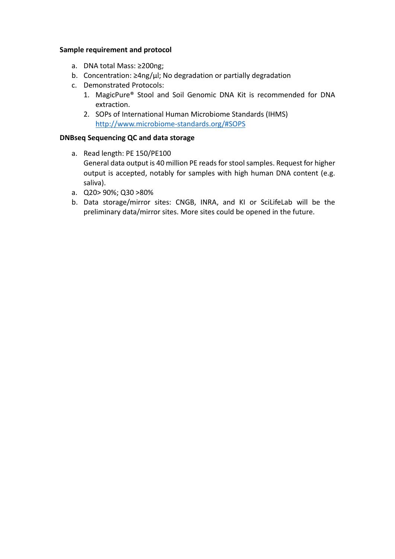#### **Sample requirement and protocol**

- a. DNA total Mass: ≥200ng;
- b. Concentration:  $≥4$ ng/ $µ$ ; No degradation or partially degradation
- c. Demonstrated Protocols:
	- 1. MagicPure® Stool and Soil Genomic DNA Kit is recommended for DNA extraction.
	- 2. SOPs of International Human Microbiome Standards (IHMS) [http://www.microbiome-standards.org/#SOPS](http://www.microbiome-standards.org/%23SOPS)

#### **DNBseq Sequencing QC and data storage**

- a. Read length: PE 150/PE100
	- General data output is 40 million PE reads for stool samples. Request for higher output is accepted, notably for samples with high human DNA content (e.g. saliva).
- a. Q20> 90%; Q30 >80%
- b. Data storage/mirror sites: CNGB, INRA, and KI or SciLifeLab will be the preliminary data/mirror sites. More sites could be opened in the future.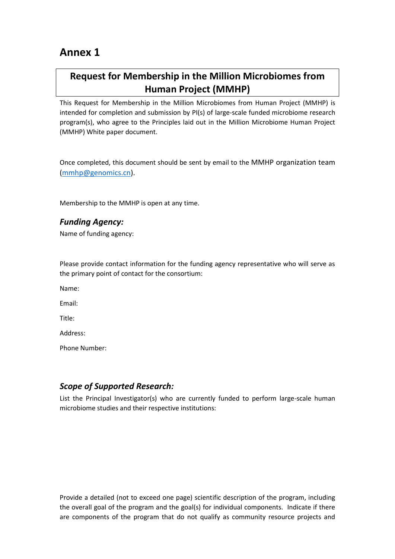# **Annex 1**

# **Request for Membership in the Million Microbiomes from Human Project (MMHP)**

This Request for Membership in the Million Microbiomes from Human Project (MMHP) is intended for completion and submission by PI(s) of large-scale funded microbiome research program(s), who agree to the Principles laid out in the Million Microbiome Human Project (MMHP) White paper document.

Once completed, this document should be sent by email to the MMHP organization team [\(mmhp@genomics.cn\)](file:///C:/Users/markus.liu/Desktop/mmhp@genomics.cn).

Membership to the MMHP is open at any time.

### *Funding Agency:*

Name of funding agency:

Please provide contact information for the funding agency representative who will serve as the primary point of contact for the consortium:

Name:

Email:

Title:

Address:

Phone Number:

## *Scope of Supported Research:*

List the Principal Investigator(s) who are currently funded to perform large-scale human microbiome studies and their respective institutions:

Provide a detailed (not to exceed one page) scientific description of the program, including the overall goal of the program and the goal(s) for individual components. Indicate if there are components of the program that do not qualify as community resource projects and